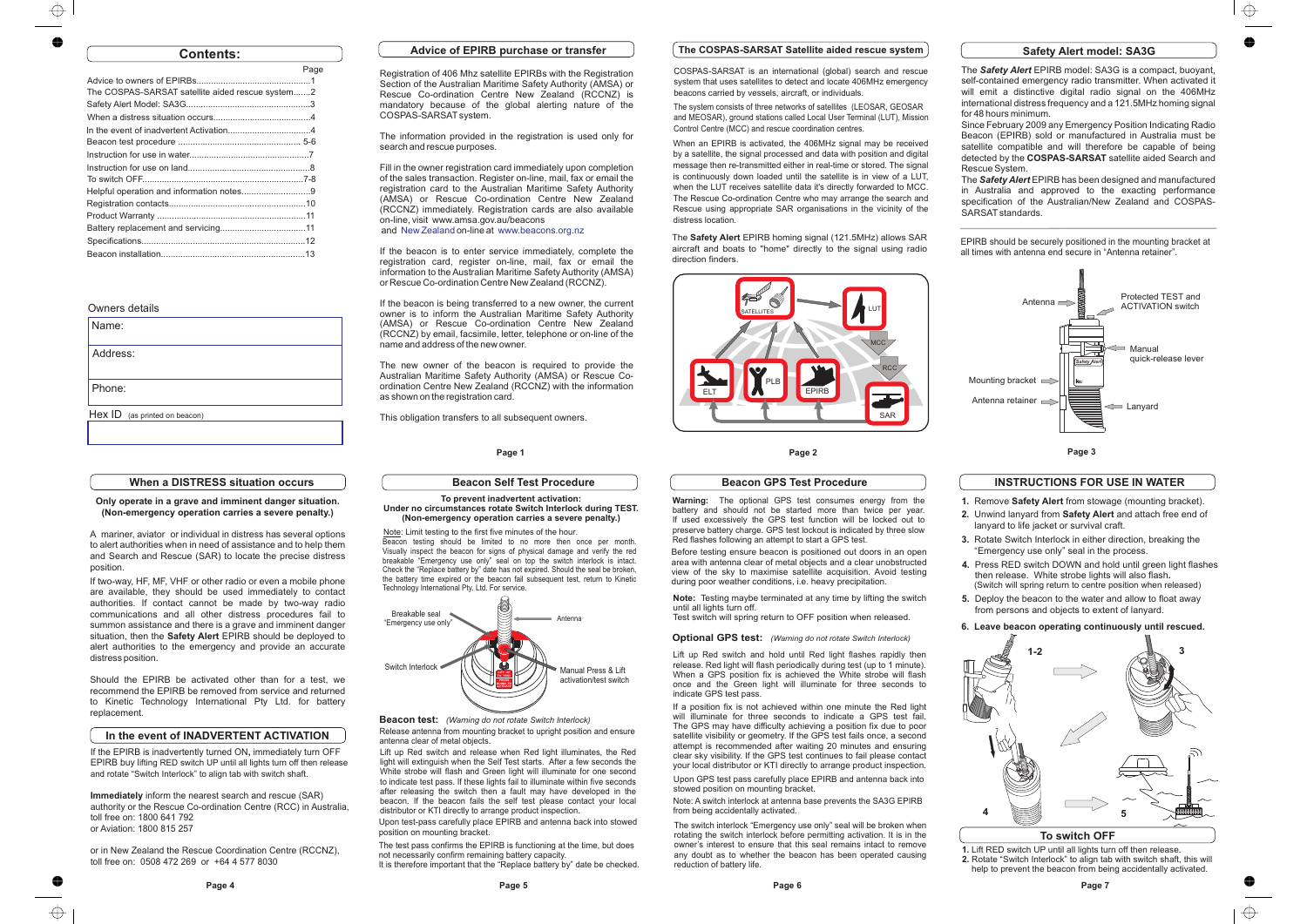Before testing ensure beacon is positioned out doors in an open area with antenna clear of metal objects and a clear unobstructed view of the sky to maximise satellite acquisition. Avoid testingduring poor weather conditions, i.e. heavy precipitation*.*

**Note:** Testing maybe terminated at any time by lifting the switchuntil all lights turn off.

Note: A switch interlock at antenna base prevents the SA3G EPIRB from being accidentally activated.

Test switch will spring return to OFF position when released.

**1.**Lift RED switch UP until all lights turn off then release. **2.**Rotate "Switch Interlock" to align tab with switch shaft, this will help to prevent the beacon from being accidentally activated.



| Name:                         |
|-------------------------------|
| Address:                      |
| Phone:                        |
| Hex ID (as printed on beacon) |

The switch interlock "Emergency use only" seal will be broken when rotating the switch interlock before permitting activation. It is in the owner's interest to ensure that this seal remains intact to remove any doubt as to whether the beacon has been operated causingreduction of battery life.

The test pass confirms the EPIRB is functioning at the time, but does not necessarily confirm remaining battery capacity.

It is therefore important that the "Replace battery by" date be checked.

# **Contents:**

# Owners details

Registration of 406 Mhz satellite EPIRBs with the Registration Section of the Australian Maritime Safety Authority (AMSA) or Rescue Co-ordination Centre New Zealand (RCCNZ) is mandatory because of the global alerting nature of the COSPAS-SARSAT system.

Fill in the owner registration card immediately upon completionof the sales transaction. Register on-line, mail, fax or email the registration card to the Australian Maritime Safety Authority (AMSA) or Rescue Co-ordination Centre New Zealand (RCCNZ) immediately. Registration cards are also available on-line, visit www.amsa.gov.au/beacons and New Zealand on-line at www.beacons.org.nz

|                                                  | Page |
|--------------------------------------------------|------|
|                                                  |      |
| The COSPAS-SARSAT satellite aided rescue system2 |      |
|                                                  |      |
|                                                  |      |
|                                                  |      |
|                                                  |      |
|                                                  |      |
|                                                  |      |
|                                                  |      |
| Helpful operation and information notes9         |      |
|                                                  |      |
|                                                  |      |
|                                                  |      |
|                                                  |      |
|                                                  |      |

#### **Page 1**

The Safety Alert EPIRB model: SA3G is a compact, buoyant, self-contained emergency radio transmitter. When activated it will emit <sup>a</sup> distinctive digital radio signal on the 406MHz international distress frequency and <sup>a</sup> 121.5MHz homing signal for 48 hours minimum.

 $\oplus$ 

The information provided in the registration is used only forsearch and rescue purposes.

> The *Safety Alert* EPIRB has been designed and manufactured in Australia and approved to the exacting performance specification of the Australian/New Zealand and COSPAS-SARSAT standards.

EPIRB should be securely positioned in the mounting bracket at EPIRB should be securely positioned in the mounting bracket<br>all times with antenna end secure in "Antenna retainer".

A mariner, aviator or individual in distress has several options to alert authorities when in need of assistance and to help them and Search and Rescue (SAR) to locate the precise distressposition.

If the beacon is to enter service immediately, complete theregistration card, register on-line, mail, fax or email the information to the Australian Maritime Safety Authority (AMSA)or Rescue Co-ordination Centre New Zealand (RCCNZ).

situation, then the **Safety Alert** EPIRB should be deployed to alert authorities to the emergency and provide an accurateIf two-way, HF, MF, VHF or other radio or even <sup>a</sup> mobile phone are available, they should be used immediately to contact authorities. If contact cannot be made by two-way radio communications and all other distress procedures fail to summon assistance and there is <sup>a</sup> grave and imminent dangerdistress position.

If the beacon is being transferred to <sup>a</sup> new owner, the current owner is to inform the Australian Maritime Safety Authority(AMSA) or Rescue Co-ordination Centre New Zealand (RCCNZ) by email, facsimile, letter, telephone or on-line of the name and address of the new owner.

The new owner of the beacon is required to provide theAustralian Maritime Safety Authority (AMSA) or Rescue Coordination Centre New Zealand (RCCNZ) with the information as shown on the registration card.

This obligation transfers to all subsequent owners.

**1.** Remove **Safety Alert** from stowage (mounting bracket). **2.** Unwind lanyard from **Safety Alert** and attach free end of lanyard to life jacket or survival craft.

**Page 2**

# **The COSPAS-SARSAT Satellite aided rescue system**

(Switch will spring return to centre position when released) **5.** Deploy the beacon to the water and allow to float awayfrom persons and objects to extent of lanyard.

When an EPIRB is activated, the 406MHz signal may be received by <sup>a</sup> satellite, the signal processed and data with position and digital message then re-transmitted either in real-time or stored. The signal is continuously down loaded until the satellite is in view of <sup>a</sup> LUT, when the LUT receives satellite data it's directly forwarded to MCC. The Rescue Co-ordination Centre who may arrange the search and Rescue using appropriate SAR organisations in the vicinity of thedistress location.

COSPAS-SARSAT is an international (global) search and rescue system that uses satellites to detect and locate 406MHz emergencybeacons carried by vessels, aircraft, or individuals.

The EPIRB homing signal (121.5MHz) allows SAR**Safety Alert** aircraft and boats to "home" directly to the signal using radio direction finders.

The system consists of three networks of satellites (LEOSAR, GEOSAR and MEOSAR), ground stations called Local User Terminal (LUT), MissionControl Centre (MCC) and rescue coordination centres.





**Immediately** inform the nearest search and rescue (SAR) authority or the Rescue Co-ordination Centre (RCC) in Australia, toll free on: 1800 641 792or Aviation: 1800 815 257

If the EPIRB is inadvertently turned ON, immediately turn OFF EPIRB buy l ifting RED switch UP until all lights turn off then releaseand rotate "Switch Interlock" to align tab with switch shaft.

Since February 2009 any Emergency Position Indicating Radio Beacon (EPIRB) sold or manufactured in Australia must be satellite compatible and will therefore be capable of beingdetected by the **COSPAS-SARSAT** satellite aided Search and Rescue System.

# **Safety Alert model: SA3G**

#### **When a DISTRESS situation occurs**

**Only operate in a grave and imminent danger situation.(Non-emergency operation carries a severe penalty.)**

Should the EPIRB be activated other than for <sup>a</sup> test, we recommend the EPIRB be removed from service and returned to Kinetic Technology International Pty Ltd. for batteryreplacement.

#### **Beacon Self Test Procedure**

#### **To prevent inadvertent activation: Under no circumstances rotate Switch Interlock during TEST.(Non-emergency operation carries a severe penalty.)**

**Page 6**

#### **Beacon GPS Test Procedure**

#### **Optional GPS test:** *(Warning do not rotate Switch Interlock)*



**To switch OFF**

**3.** Rotate Switch Interlock in either direction, breaking the"Emergency use only" seal in the process.

**4.**Press RED switch DOWN and hold until green light flashes**.**then release. White strobe lights will also flash

# **6. Leave beacon operating continuously until rescued.**

# **INSTRUCTIONS FOR USE IN WATER**

**Beacon test:** *(Warning do not rotate Switch Interlock)* Release antenna from mounting bracket to upright position and ensureantenna clear of metal objects.

> Upon GPS test pass carefully place EPIRB and antenna back intostowed position on mounting bracket.

> **Warning:** The optional GPS test consumes energy from the battery and should not be started more than twice per year. If used excessively the GPS test function will be locked out to preserve battery charge. GPS test lockout is indicated by three slowRed flashes following an attempt to start a GPS test.

Beacon testing should be limited to no more then once per month. Visually inspect the beacon for signs of physical damage and verify the red breakable "Emergency use only" seal on top the switch interlock is intact. Check the "Replace battery by" date has not expired. Should the seal be broken, the battery time expired or the beacon fail subsequent test, return to KineticTechnology International Pty. Ltd. For service. Note: Limit testing to the first five minutes of the hour.

> Lift up Red switch and hold until Red light flashes rapidly then release. Red light will flash periodically during test (up to 1 minute). When <sup>a</sup> GPS position fix is achieved the White strobe will flash once and the Green light will illuminate for three seconds toindicate GPS test pass.

Upon test-pass carefully place EPIRB and antenna back into stowed position on mounting bracket.distributor or KTI directly to arrange product inspection.

 If <sup>a</sup> position fix is not achieved within one minute the Red light will illuminate for three seconds to indicate <sup>a</sup> GPS test fail. The GPS may have difficulty achieving <sup>a</sup> position fix due to poor satellite visibility or geometry. If the GPS test fails once, <sup>a</sup> second attempt is recommended after waiting 20 minutes and ensuring clear sky visibility. If the GPS test continues to fail please contact your local distributor or KTI directly to arrange product inspection.

 Lift up Red switch and release when Red light illuminates, the Red light will extinguish when the Self Test starts. After <sup>a</sup> few seconds the White strobe will flash and Green light will illuminate for one second to indicate test pass. If these lights fail to illuminate within five seconds after releasing the switch then <sup>a</sup> fault may have developed in thebeacon. If the beacon fails the self test please contact your local

### **In the event of INADVERTENT ACTIVATION**

or in New Zealand the Rescue Coordination Centre (RCCNZ),toll free on: 0508 472 269 or +64 4 577 8030